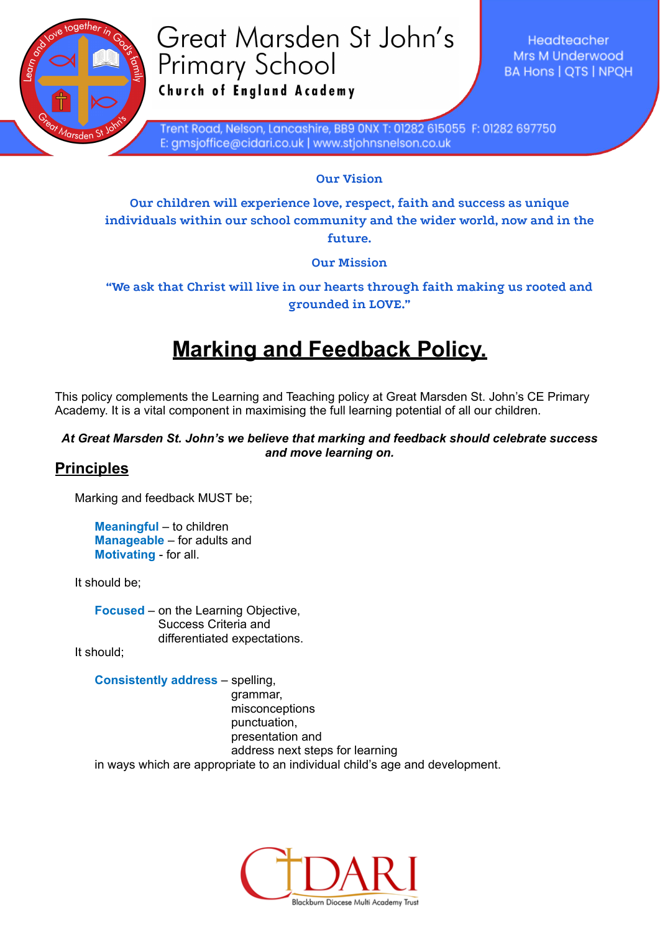

# Great Marsden St John's **Primary School** Church of England Academy

Headteacher Mrs M Underwood **BA Hons | OTS | NPOH** 

Trent Road, Nelson, Lancashire, BB9 0NX T: 01282 615055 F: 01282 697750 E: gmsjoffice@cidari.co.uk | www.stjohnsnelson.co.uk

**Our Vision**

**Our children will experience love, respect, faith and success as unique individuals within our school community and the wider world, now and in the future.**

**Our Mission**

### **"We ask that Christ will live in our hearts through faith making us rooted and grounded in LOVE."**

# **Marking and Feedback Policy.**

This policy complements the Learning and Teaching policy at Great Marsden St. John's CE Primary Academy. It is a vital component in maximising the full learning potential of all our children.

#### *At Great Marsden St. John's we believe that marking and feedback should celebrate success and move learning on.*

## **Principles**

Marking and feedback MUST be;

**Meaningful** – to children **Manageable** – for adults and **Motivating** - for all.

It should be;

**Focused** – on the Learning Objective, Success Criteria and differentiated expectations.

It should;

**Consistently address** – spelling,

grammar, misconceptions punctuation, presentation and address next steps for learning

in ways which are appropriate to an individual child's age and development.

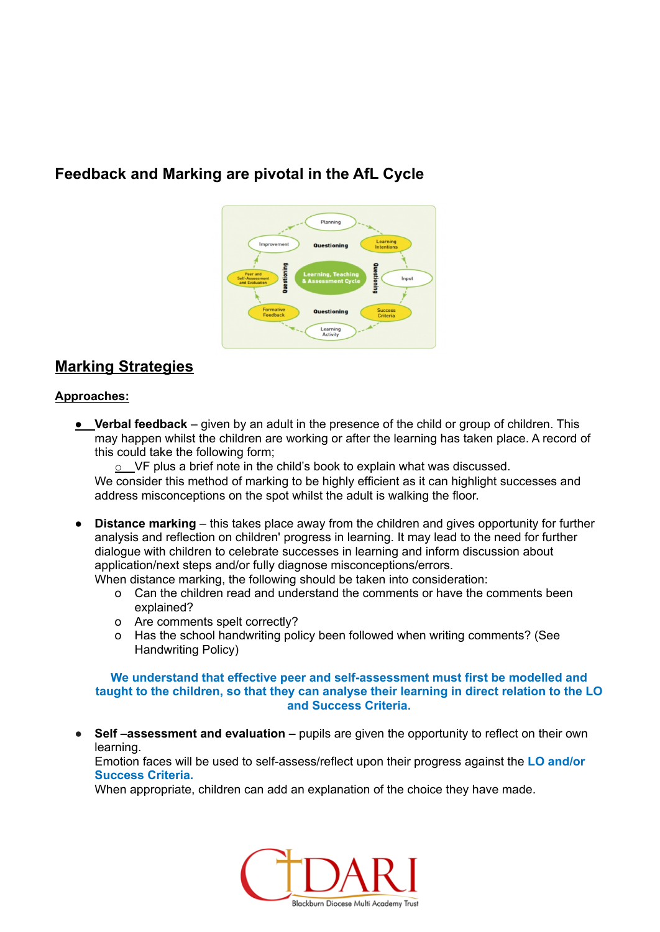# **Feedback and Marking are pivotal in the AfL Cycle**



## **Marking Strategies**

#### **Approaches:**

● **Verbal feedback** – given by an adult in the presence of the child or group of children. This may happen whilst the children are working or after the learning has taken place. A record of this could take the following form;

o VF plus a brief note in the child's book to explain what was discussed.

We consider this method of marking to be highly efficient as it can highlight successes and address misconceptions on the spot whilst the adult is walking the floor.

● **Distance marking** – this takes place away from the children and gives opportunity for further analysis and reflection on children' progress in learning. It may lead to the need for further dialogue with children to celebrate successes in learning and inform discussion about application/next steps and/or fully diagnose misconceptions/errors.

When distance marking, the following should be taken into consideration:

- o Can the children read and understand the comments or have the comments been explained?
- o Are comments spelt correctly?
- o Has the school handwriting policy been followed when writing comments? (See Handwriting Policy)

**We understand that effective peer and self-assessment must first be modelled and taught to the children, so that they can analyse their learning in direct relation to the LO and Success Criteria.**

● **Self –assessment and evaluation –** pupils are given the opportunity to reflect on their own learning.

Emotion faces will be used to self-assess/reflect upon their progress against the **LO and/or Success Criteria.**

When appropriate, children can add an explanation of the choice they have made.

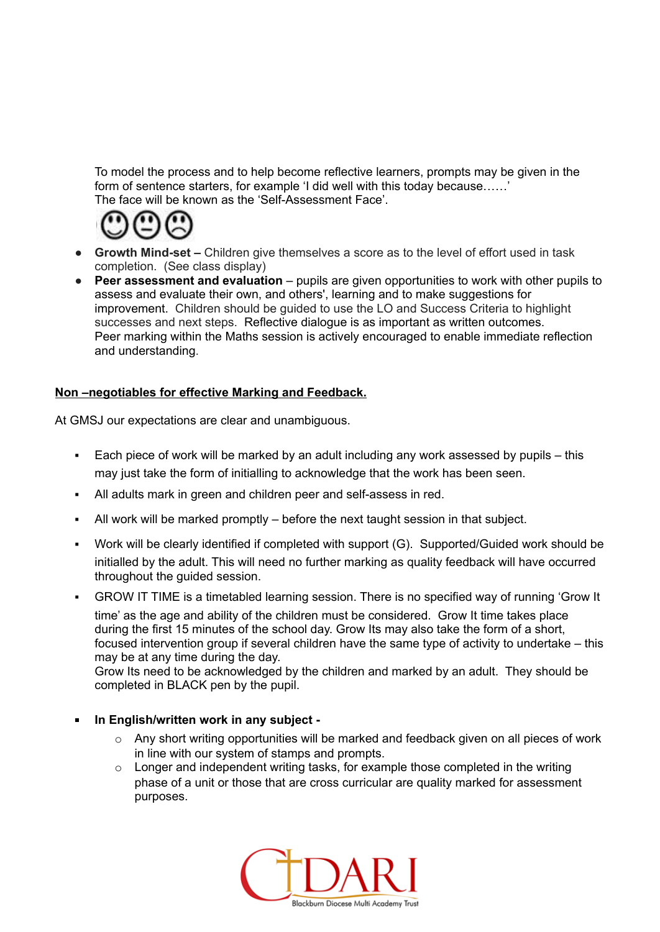To model the process and to help become reflective learners, prompts may be given in the form of sentence starters, for example 'I did well with this today because……' The face will be known as the 'Self-Assessment Face'.



- **● Growth Mind-set –** Children give themselves a score as to the level of effort used in task completion. (See class display)
- **Peer assessment and evaluation** pupils are given opportunities to work with other pupils to assess and evaluate their own, and others', learning and to make suggestions for improvement. Children should be guided to use the LO and Success Criteria to highlight successes and next steps. Reflective dialogue is as important as written outcomes. Peer marking within the Maths session is actively encouraged to enable immediate reflection and understanding.

#### **Non –negotiables for effective Marking and Feedback.**

At GMSJ our expectations are clear and unambiguous.

- Each piece of work will be marked by an adult including any work assessed by pupils this may just take the form of initialling to acknowledge that the work has been seen.
- All adults mark in green and children peer and self-assess in red.
- All work will be marked promptly  $-$  before the next taught session in that subject.
- Work will be clearly identified if completed with support (G). Supported/Guided work should be initialled by the adult. This will need no further marking as quality feedback will have occurred throughout the guided session.
- GROW IT TIME is a timetabled learning session. There is no specified way of running 'Grow It time' as the age and ability of the children must be considered. Grow It time takes place during the first 15 minutes of the school day. Grow Its may also take the form of a short, focused intervention group if several children have the same type of activity to undertake – this may be at any time during the day.

Grow Its need to be acknowledged by the children and marked by an adult. They should be completed in BLACK pen by the pupil.

- **In English/written work in any subject -**
	- $\circ$  Any short writing opportunities will be marked and feedback given on all pieces of work in line with our system of stamps and prompts.
	- $\circ$  Longer and independent writing tasks, for example those completed in the writing phase of a unit or those that are cross curricular are quality marked for assessment purposes.

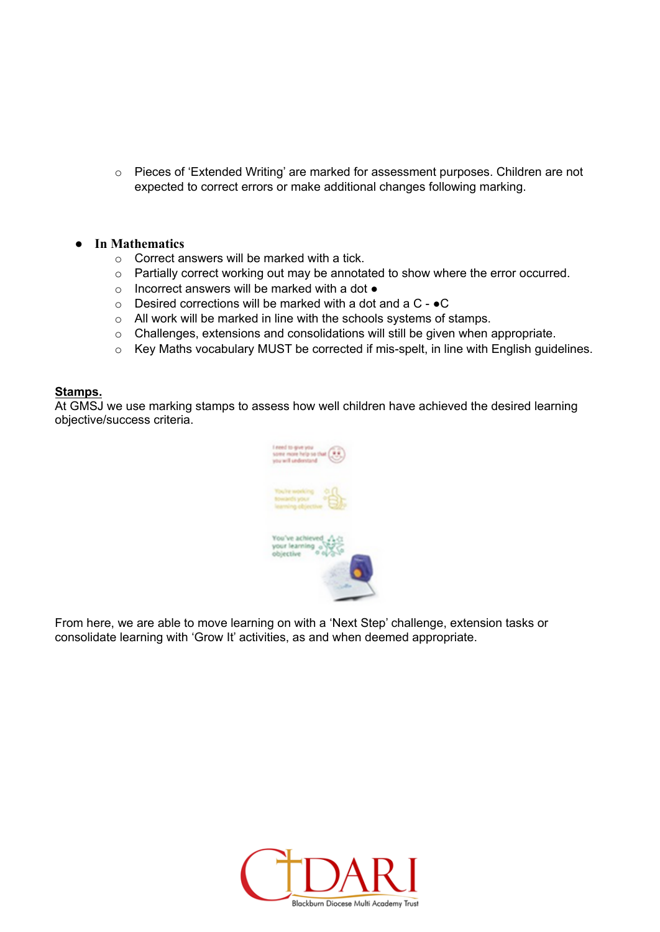o Pieces of 'Extended Writing' are marked for assessment purposes. Children are not expected to correct errors or make additional changes following marking.

#### **● In Mathematics**

- $\circ$  Correct answers will be marked with a tick.
- o Partially correct working out may be annotated to show where the error occurred.
- o Incorrect answers will be marked with a dot ●
- $\circ$  Desired corrections will be marked with a dot and a C  $\bullet$ C
- o All work will be marked in line with the schools systems of stamps.
- o Challenges, extensions and consolidations will still be given when appropriate.
- o Key Maths vocabulary MUST be corrected if mis-spelt, in line with English guidelines.

#### **Stamps.**

At GMSJ we use marking stamps to assess how well children have achieved the desired learning objective/success criteria.



From here, we are able to move learning on with a 'Next Step' challenge, extension tasks or consolidate learning with 'Grow It' activities, as and when deemed appropriate.

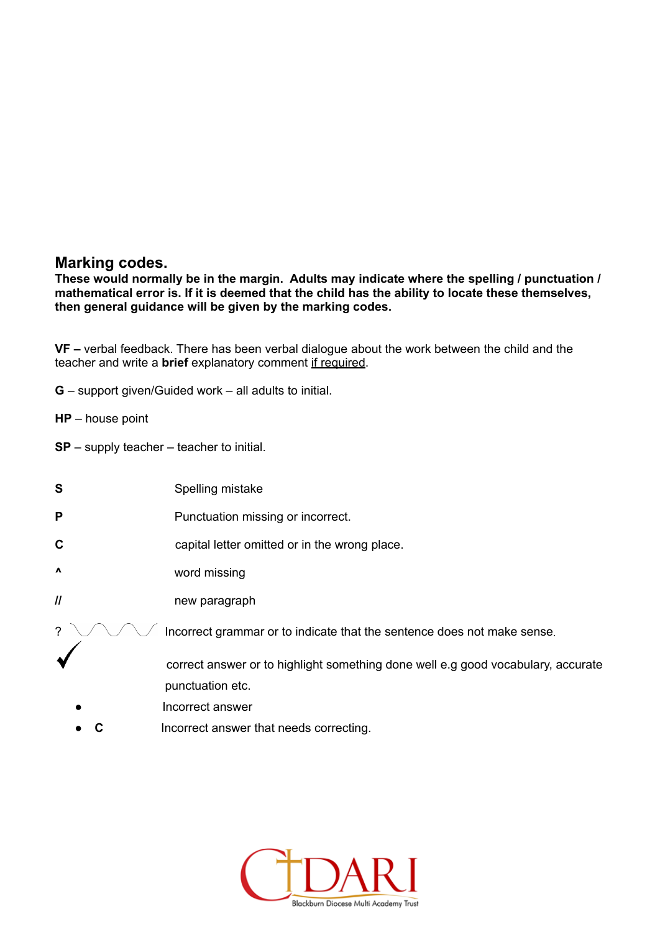### **Marking codes.**

**These would normally be in the margin. Adults may indicate where the spelling / punctuation / mathematical error is. If it is deemed that the child has the ability to locate these themselves, then general guidance will be given by the marking codes.**

**VF –** verbal feedback. There has been verbal dialogue about the work between the child and the teacher and write a **brief** explanatory comment if required.

- **G** support given/Guided work all adults to initial.
- **HP** house point
- **SP** supply teacher teacher to initial.
- **S** Spelling mistake
- **P** Punctuation missing or incorrect.
- **C** capital letter omitted or in the wrong place.
- **^** word missing
- **//** new paragraph
- ?  $\bigvee \bigvee$  Incorrect grammar or to indicate that the sentence does not make sense.
	- correct answer or to highlight something done well e.g good vocabulary, accurate punctuation etc.
	- Incorrect answer
	- **C** Incorrect answer that needs correcting.